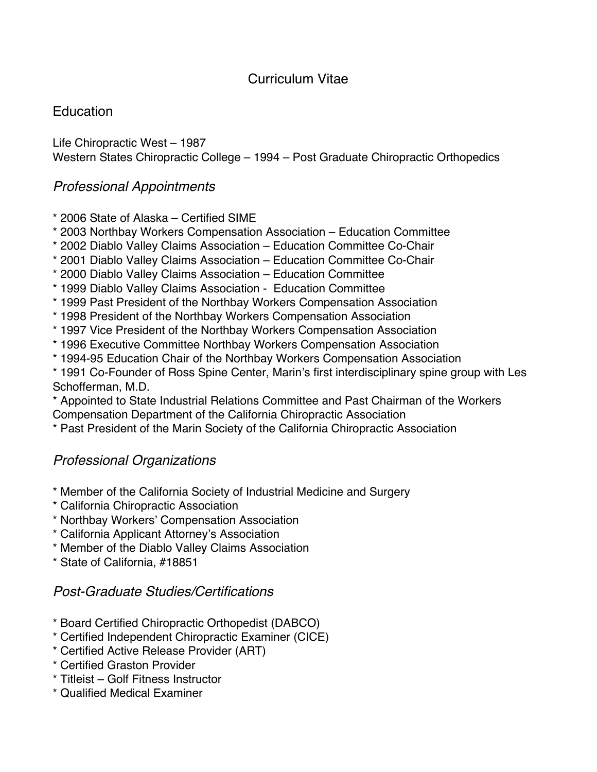# Curriculum Vitae

# **Education**

Life Chiropractic West – 1987 Western States Chiropractic College – 1994 – Post Graduate Chiropractic Orthopedics

### *Professional Appointments*

- \* 2006 State of Alaska Certified SIME
- \* 2003 Northbay Workers Compensation Association Education Committee
- \* 2002 Diablo Valley Claims Association Education Committee Co-Chair
- \* 2001 Diablo Valley Claims Association Education Committee Co-Chair
- \* 2000 Diablo Valley Claims Association Education Committee
- \* 1999 Diablo Valley Claims Association Education Committee
- \* 1999 Past President of the Northbay Workers Compensation Association
- \* 1998 President of the Northbay Workers Compensation Association
- \* 1997 Vice President of the Northbay Workers Compensation Association
- \* 1996 Executive Committee Northbay Workers Compensation Association
- \* 1994-95 Education Chair of the Northbay Workers Compensation Association
- \* 1991 Co-Founder of Ross Spine Center, Marin's first interdisciplinary spine group with Les Schofferman, M.D.

\* Appointed to State Industrial Relations Committee and Past Chairman of the Workers Compensation Department of the California Chiropractic Association

\* Past President of the Marin Society of the California Chiropractic Association

## *Professional Organizations*

- \* Member of the California Society of Industrial Medicine and Surgery
- \* California Chiropractic Association
- \* Northbay Workers Compensation Association
- \* California Applicant Attorney's Association
- \* Member of the Diablo Valley Claims Association
- \* State of California, #18851

#### *Post-Graduate Studies/Certifications*

- \* Board Certified Chiropractic Orthopedist (DABCO)
- \* Certified Independent Chiropractic Examiner (CICE)
- \* Certified Active Release Provider (ART)
- \* Certified Graston Provider
- \* Titleist Golf Fitness Instructor
- \* Qualified Medical Examiner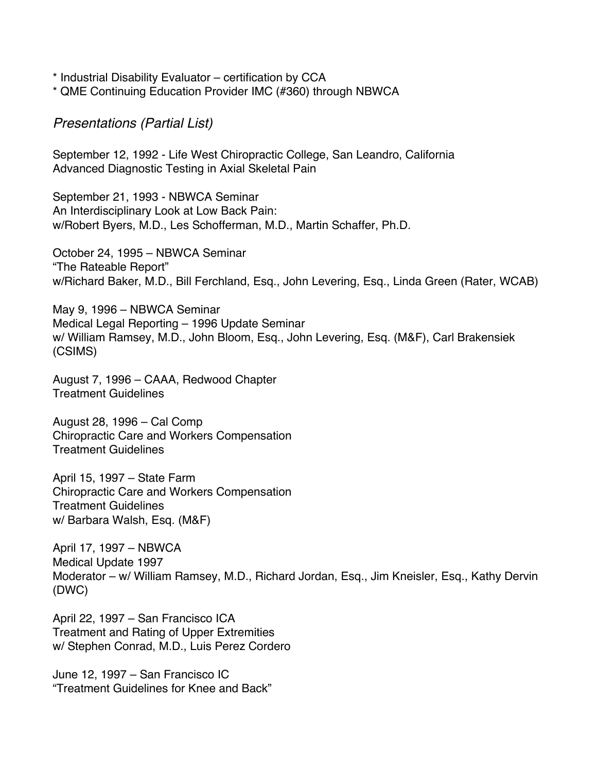\* Industrial Disability Evaluator – certification by CCA

\* QME Continuing Education Provider IMC (#360) through NBWCA

*Presentations (Partial List)* 

September 12, 1992 - Life West Chiropractic College, San Leandro, California Advanced Diagnostic Testing in Axial Skeletal Pain

September 21, 1993 - NBWCA Seminar An Interdisciplinary Look at Low Back Pain: w/Robert Byers, M.D., Les Schofferman, M.D., Martin Schaffer, Ph.D.

October 24, 1995 – NBWCA Seminar "The Rateable Report" w/Richard Baker, M.D., Bill Ferchland, Esq., John Levering, Esq., Linda Green (Rater, WCAB)

May 9, 1996 – NBWCA Seminar Medical Legal Reporting – 1996 Update Seminar w/ William Ramsey, M.D., John Bloom, Esq., John Levering, Esq. (M&F), Carl Brakensiek (CSIMS)

August 7, 1996 – CAAA, Redwood Chapter Treatment Guidelines

August 28, 1996 – Cal Comp Chiropractic Care and Workers Compensation Treatment Guidelines

April 15, 1997 – State Farm Chiropractic Care and Workers Compensation Treatment Guidelines w/ Barbara Walsh, Esq. (M&F)

April 17, 1997 – NBWCA Medical Update 1997 Moderator – w/ William Ramsey, M.D., Richard Jordan, Esq., Jim Kneisler, Esq., Kathy Dervin (DWC)

April 22, 1997 – San Francisco ICA Treatment and Rating of Upper Extremities w/ Stephen Conrad, M.D., Luis Perez Cordero

June 12, 1997 – San Francisco IC "Treatment Guidelines for Knee and Back"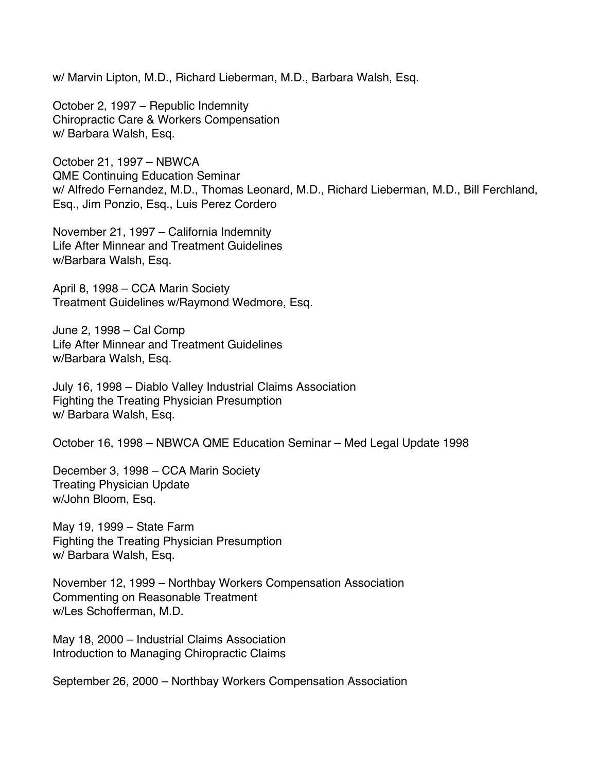w/ Marvin Lipton, M.D., Richard Lieberman, M.D., Barbara Walsh, Esq.

October 2, 1997 – Republic Indemnity Chiropractic Care & Workers Compensation w/ Barbara Walsh, Esq.

October 21, 1997 – NBWCA QME Continuing Education Seminar w/ Alfredo Fernandez, M.D., Thomas Leonard, M.D., Richard Lieberman, M.D., Bill Ferchland, Esq., Jim Ponzio, Esq., Luis Perez Cordero

November 21, 1997 – California Indemnity Life After Minnear and Treatment Guidelines w/Barbara Walsh, Esq.

April 8, 1998 – CCA Marin Society Treatment Guidelines w/Raymond Wedmore, Esq.

June 2, 1998 – Cal Comp Life After Minnear and Treatment Guidelines w/Barbara Walsh, Esq.

July 16, 1998 – Diablo Valley Industrial Claims Association Fighting the Treating Physician Presumption w/ Barbara Walsh, Esq.

October 16, 1998 – NBWCA QME Education Seminar – Med Legal Update 1998

December 3, 1998 – CCA Marin Society Treating Physician Update w/John Bloom, Esq.

May 19, 1999 – State Farm Fighting the Treating Physician Presumption w/ Barbara Walsh, Esq.

November 12, 1999 – Northbay Workers Compensation Association Commenting on Reasonable Treatment w/Les Schofferman, M.D.

May 18, 2000 – Industrial Claims Association Introduction to Managing Chiropractic Claims

September 26, 2000 – Northbay Workers Compensation Association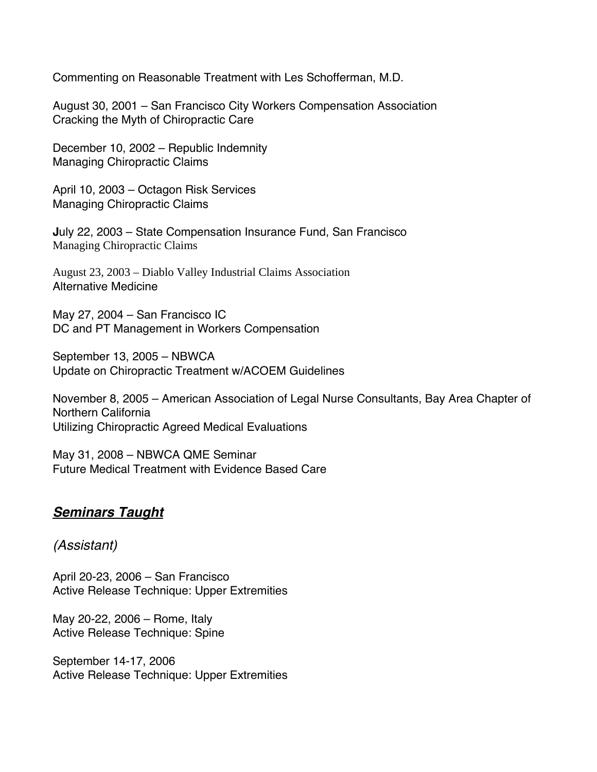Commenting on Reasonable Treatment with Les Schofferman, M.D.

August 30, 2001 – San Francisco City Workers Compensation Association Cracking the Myth of Chiropractic Care

December 10, 2002 – Republic Indemnity Managing Chiropractic Claims

April 10, 2003 – Octagon Risk Services Managing Chiropractic Claims

**J**uly 22, 2003 – State Compensation Insurance Fund, San Francisco Managing Chiropractic Claims

August 23, 2003 – Diablo Valley Industrial Claims Association Alternative Medicine

May 27, 2004 – San Francisco IC DC and PT Management in Workers Compensation

September 13, 2005 – NBWCA Update on Chiropractic Treatment w/ACOEM Guidelines

November 8, 2005 – American Association of Legal Nurse Consultants, Bay Area Chapter of Northern California Utilizing Chiropractic Agreed Medical Evaluations

May 31, 2008 – NBWCA QME Seminar Future Medical Treatment with Evidence Based Care

#### *Seminars Taught*

*(Assistant)* 

April 20-23, 2006 – San Francisco Active Release Technique: Upper Extremities

May 20-22, 2006 – Rome, Italy Active Release Technique: Spine

September 14-17, 2006 Active Release Technique: Upper Extremities